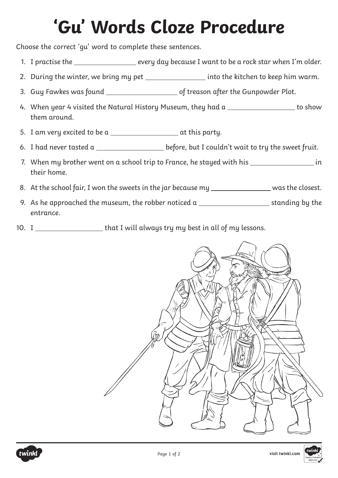## **'Gu' Words Cloze Procedure**

Choose the correct 'gu' word to complete these sentences.

- 1. I practise the \_\_\_\_\_\_\_\_\_\_\_\_\_\_\_\_\_\_\_ every day because I want to be a rock star when I'm older.
- 2. During the winter, we bring my pet \_\_\_\_\_\_\_\_\_\_\_\_\_\_\_\_\_\_ into the kitchen to keep him warm.
- 3. Guy Fawkes was found of treason after the Gunpowder Plot.
- 4. When year 4 visited the Natural History Museum, they had a \_\_\_\_\_\_\_\_\_\_\_\_\_\_\_\_\_\_\_ to show them around.
- 5. I am very excited to be a  $\overline{a}$  at this party.
- 6. I had never tasted a \_\_\_\_\_\_\_\_\_\_\_\_\_\_\_\_\_\_\_\_\_ before, but I couldn't wait to try the sweet fruit.
- 7. When my brother went on a school trip to France, he stayed with his in their home.
- 8. At the school fair, I won the sweets in the jar because my \_\_\_\_\_\_\_\_\_\_\_\_\_\_\_\_ was the closest.
- 9. As he approached the museum, the robber noticed a  $\frac{1}{\sqrt{1-\frac{1}{n}}}$  standing by the entrance.
- 10. I \_\_\_\_\_\_\_\_\_\_\_\_\_\_\_\_\_\_\_\_\_\_\_that I will always try my best in all of my lessons.